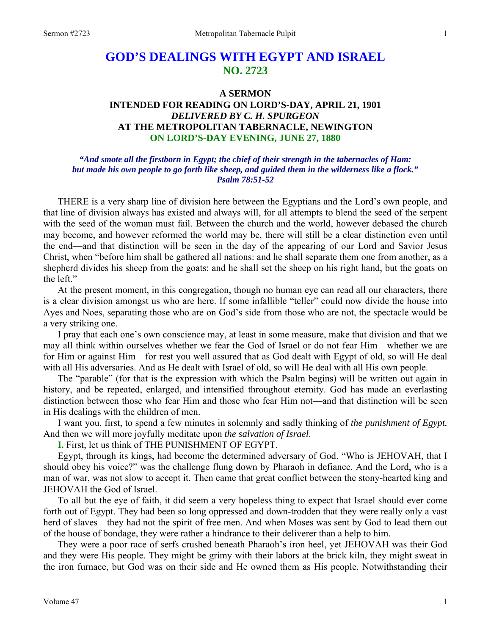# **GOD'S DEALINGS WITH EGYPT AND ISRAEL NO. 2723**

### **A SERMON**

### **INTENDED FOR READING ON LORD'S-DAY, APRIL 21, 1901**  *DELIVERED BY C. H. SPURGEON*  **AT THE METROPOLITAN TABERNACLE, NEWINGTON ON LORD'S-DAY EVENING, JUNE 27, 1880**

#### *"And smote all the firstborn in Egypt; the chief of their strength in the tabernacles of Ham: but made his own people to go forth like sheep, and guided them in the wilderness like a flock." Psalm 78:51-52*

THERE is a very sharp line of division here between the Egyptians and the Lord's own people, and that line of division always has existed and always will, for all attempts to blend the seed of the serpent with the seed of the woman must fail. Between the church and the world, however debased the church may become, and however reformed the world may be, there will still be a clear distinction even until the end—and that distinction will be seen in the day of the appearing of our Lord and Savior Jesus Christ, when "before him shall be gathered all nations: and he shall separate them one from another, as a shepherd divides his sheep from the goats: and he shall set the sheep on his right hand, but the goats on the left."

 At the present moment, in this congregation, though no human eye can read all our characters, there is a clear division amongst us who are here. If some infallible "teller" could now divide the house into Ayes and Noes, separating those who are on God's side from those who are not, the spectacle would be a very striking one.

 I pray that each one's own conscience may, at least in some measure, make that division and that we may all think within ourselves whether we fear the God of Israel or do not fear Him—whether we are for Him or against Him—for rest you well assured that as God dealt with Egypt of old, so will He deal with all His adversaries. And as He dealt with Israel of old, so will He deal with all His own people.

 The "parable" (for that is the expression with which the Psalm begins) will be written out again in history, and be repeated, enlarged, and intensified throughout eternity. God has made an everlasting distinction between those who fear Him and those who fear Him not—and that distinction will be seen in His dealings with the children of men.

 I want you, first, to spend a few minutes in solemnly and sadly thinking of *the punishment of Egypt.* And then we will more joyfully meditate upon *the salvation of Israel*.

**I.** First, let us think of THE PUNISHMENT OF EGYPT.

 Egypt, through its kings, had become the determined adversary of God. "Who is JEHOVAH, that I should obey his voice?" was the challenge flung down by Pharaoh in defiance. And the Lord, who is a man of war, was not slow to accept it. Then came that great conflict between the stony-hearted king and JEHOVAH the God of Israel.

 To all but the eye of faith, it did seem a very hopeless thing to expect that Israel should ever come forth out of Egypt. They had been so long oppressed and down-trodden that they were really only a vast herd of slaves—they had not the spirit of free men. And when Moses was sent by God to lead them out of the house of bondage, they were rather a hindrance to their deliverer than a help to him.

 They were a poor race of serfs crushed beneath Pharaoh's iron heel, yet JEHOVAH was their God and they were His people. They might be grimy with their labors at the brick kiln, they might sweat in the iron furnace, but God was on their side and He owned them as His people. Notwithstanding their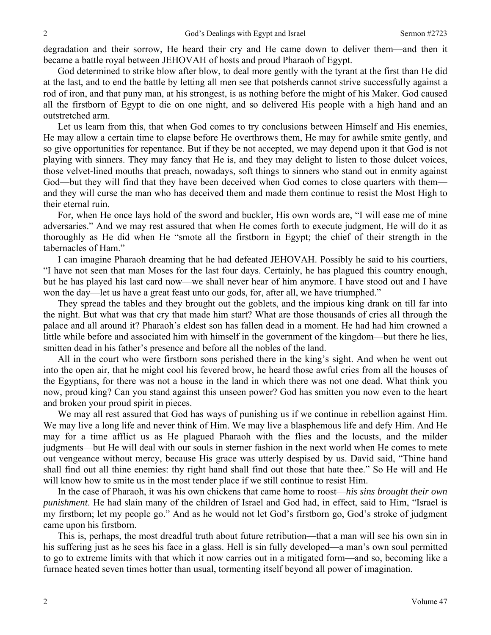degradation and their sorrow, He heard their cry and He came down to deliver them—and then it became a battle royal between JEHOVAH of hosts and proud Pharaoh of Egypt.

 God determined to strike blow after blow, to deal more gently with the tyrant at the first than He did at the last, and to end the battle by letting all men see that potsherds cannot strive successfully against a rod of iron, and that puny man, at his strongest, is as nothing before the might of his Maker. God caused all the firstborn of Egypt to die on one night, and so delivered His people with a high hand and an outstretched arm.

 Let us learn from this, that when God comes to try conclusions between Himself and His enemies, He may allow a certain time to elapse before He overthrows them, He may for awhile smite gently, and so give opportunities for repentance. But if they be not accepted, we may depend upon it that God is not playing with sinners. They may fancy that He is, and they may delight to listen to those dulcet voices, those velvet-lined mouths that preach, nowadays, soft things to sinners who stand out in enmity against God—but they will find that they have been deceived when God comes to close quarters with them and they will curse the man who has deceived them and made them continue to resist the Most High to their eternal ruin.

 For, when He once lays hold of the sword and buckler, His own words are, "I will ease me of mine adversaries." And we may rest assured that when He comes forth to execute judgment, He will do it as thoroughly as He did when He "smote all the firstborn in Egypt; the chief of their strength in the tabernacles of Ham."

 I can imagine Pharaoh dreaming that he had defeated JEHOVAH. Possibly he said to his courtiers, "I have not seen that man Moses for the last four days. Certainly, he has plagued this country enough, but he has played his last card now—we shall never hear of him anymore. I have stood out and I have won the day—let us have a great feast unto our gods, for, after all, we have triumphed."

 They spread the tables and they brought out the goblets, and the impious king drank on till far into the night. But what was that cry that made him start? What are those thousands of cries all through the palace and all around it? Pharaoh's eldest son has fallen dead in a moment. He had had him crowned a little while before and associated him with himself in the government of the kingdom—but there he lies, smitten dead in his father's presence and before all the nobles of the land.

 All in the court who were firstborn sons perished there in the king's sight. And when he went out into the open air, that he might cool his fevered brow, he heard those awful cries from all the houses of the Egyptians, for there was not a house in the land in which there was not one dead. What think you now, proud king? Can you stand against this unseen power? God has smitten you now even to the heart and broken your proud spirit in pieces.

 We may all rest assured that God has ways of punishing us if we continue in rebellion against Him. We may live a long life and never think of Him. We may live a blasphemous life and defy Him. And He may for a time afflict us as He plagued Pharaoh with the flies and the locusts, and the milder judgments—but He will deal with our souls in sterner fashion in the next world when He comes to mete out vengeance without mercy, because His grace was utterly despised by us. David said, "Thine hand shall find out all thine enemies: thy right hand shall find out those that hate thee." So He will and He will know how to smite us in the most tender place if we still continue to resist Him.

 In the case of Pharaoh, it was his own chickens that came home to roost—*his sins brought their own punishment*. He had slain many of the children of Israel and God had, in effect, said to Him, "Israel is my firstborn; let my people go." And as he would not let God's firstborn go, God's stroke of judgment came upon his firstborn.

 This is, perhaps, the most dreadful truth about future retribution—that a man will see his own sin in his suffering just as he sees his face in a glass. Hell is sin fully developed—a man's own soul permitted to go to extreme limits with that which it now carries out in a mitigated form—and so, becoming like a furnace heated seven times hotter than usual, tormenting itself beyond all power of imagination.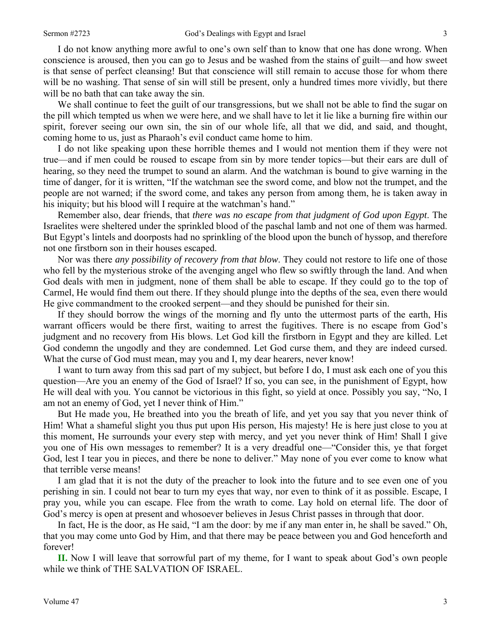I do not know anything more awful to one's own self than to know that one has done wrong. When conscience is aroused, then you can go to Jesus and be washed from the stains of guilt—and how sweet is that sense of perfect cleansing! But that conscience will still remain to accuse those for whom there will be no washing. That sense of sin will still be present, only a hundred times more vividly, but there will be no bath that can take away the sin.

 We shall continue to feet the guilt of our transgressions, but we shall not be able to find the sugar on the pill which tempted us when we were here, and we shall have to let it lie like a burning fire within our spirit, forever seeing our own sin, the sin of our whole life, all that we did, and said, and thought, coming home to us, just as Pharaoh's evil conduct came home to him.

 I do not like speaking upon these horrible themes and I would not mention them if they were not true—and if men could be roused to escape from sin by more tender topics—but their ears are dull of hearing, so they need the trumpet to sound an alarm. And the watchman is bound to give warning in the time of danger, for it is written, "If the watchman see the sword come, and blow not the trumpet, and the people are not warned; if the sword come, and takes any person from among them, he is taken away in his iniquity; but his blood will I require at the watchman's hand."

 Remember also, dear friends, that *there was no escape from that judgment of God upon Egypt*. The Israelites were sheltered under the sprinkled blood of the paschal lamb and not one of them was harmed. But Egypt's lintels and doorposts had no sprinkling of the blood upon the bunch of hyssop, and therefore not one firstborn son in their houses escaped.

 Nor was there *any possibility of recovery from that blow*. They could not restore to life one of those who fell by the mysterious stroke of the avenging angel who flew so swiftly through the land. And when God deals with men in judgment, none of them shall be able to escape. If they could go to the top of Carmel, He would find them out there. If they should plunge into the depths of the sea, even there would He give commandment to the crooked serpent—and they should be punished for their sin.

 If they should borrow the wings of the morning and fly unto the uttermost parts of the earth, His warrant officers would be there first, waiting to arrest the fugitives. There is no escape from God's judgment and no recovery from His blows. Let God kill the firstborn in Egypt and they are killed. Let God condemn the ungodly and they are condemned. Let God curse them, and they are indeed cursed. What the curse of God must mean, may you and I, my dear hearers, never know!

 I want to turn away from this sad part of my subject, but before I do, I must ask each one of you this question—Are you an enemy of the God of Israel? If so, you can see, in the punishment of Egypt, how He will deal with you. You cannot be victorious in this fight, so yield at once. Possibly you say, "No, I am not an enemy of God, yet I never think of Him."

 But He made you, He breathed into you the breath of life, and yet you say that you never think of Him! What a shameful slight you thus put upon His person, His majesty! He is here just close to you at this moment, He surrounds your every step with mercy, and yet you never think of Him! Shall I give you one of His own messages to remember? It is a very dreadful one—"Consider this, ye that forget God, lest I tear you in pieces, and there be none to deliver." May none of you ever come to know what that terrible verse means!

 I am glad that it is not the duty of the preacher to look into the future and to see even one of you perishing in sin. I could not bear to turn my eyes that way, nor even to think of it as possible. Escape, I pray you, while you can escape. Flee from the wrath to come. Lay hold on eternal life. The door of God's mercy is open at present and whosoever believes in Jesus Christ passes in through that door.

 In fact, He is the door, as He said, "I am the door: by me if any man enter in, he shall be saved." Oh, that you may come unto God by Him, and that there may be peace between you and God henceforth and forever!

**II.** Now I will leave that sorrowful part of my theme, for I want to speak about God's own people while we think of THE SALVATION OF ISRAEL.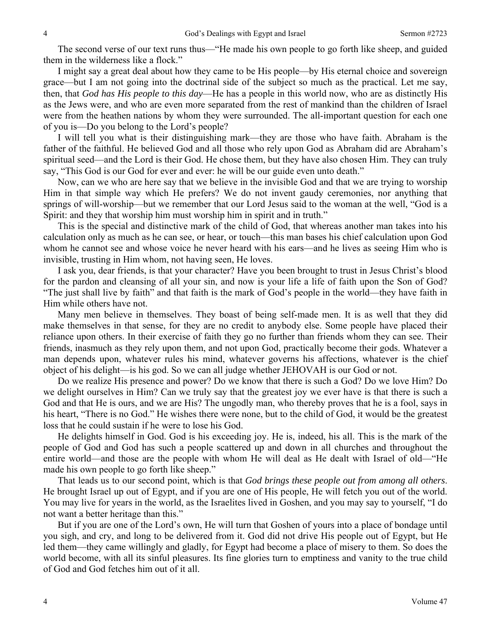The second verse of our text runs thus—"He made his own people to go forth like sheep, and guided them in the wilderness like a flock."

 I might say a great deal about how they came to be His people—by His eternal choice and sovereign grace—but I am not going into the doctrinal side of the subject so much as the practical. Let me say, then, that *God has His people to this day*—He has a people in this world now, who are as distinctly His as the Jews were, and who are even more separated from the rest of mankind than the children of Israel were from the heathen nations by whom they were surrounded. The all-important question for each one of you is—Do you belong to the Lord's people?

 I will tell you what is their distinguishing mark—they are those who have faith. Abraham is the father of the faithful. He believed God and all those who rely upon God as Abraham did are Abraham's spiritual seed—and the Lord is their God. He chose them, but they have also chosen Him. They can truly say, "This God is our God for ever and ever: he will be our guide even unto death."

 Now, can we who are here say that we believe in the invisible God and that we are trying to worship Him in that simple way which He prefers? We do not invent gaudy ceremonies, nor anything that springs of will-worship—but we remember that our Lord Jesus said to the woman at the well, "God is a Spirit: and they that worship him must worship him in spirit and in truth."

 This is the special and distinctive mark of the child of God, that whereas another man takes into his calculation only as much as he can see, or hear, or touch—this man bases his chief calculation upon God whom he cannot see and whose voice he never heard with his ears—and he lives as seeing Him who is invisible, trusting in Him whom, not having seen, He loves.

 I ask you, dear friends, is that your character? Have you been brought to trust in Jesus Christ's blood for the pardon and cleansing of all your sin, and now is your life a life of faith upon the Son of God? "The just shall live by faith" and that faith is the mark of God's people in the world—they have faith in Him while others have not.

 Many men believe in themselves. They boast of being self-made men. It is as well that they did make themselves in that sense, for they are no credit to anybody else. Some people have placed their reliance upon others. In their exercise of faith they go no further than friends whom they can see. Their friends, inasmuch as they rely upon them, and not upon God, practically become their gods. Whatever a man depends upon, whatever rules his mind, whatever governs his affections, whatever is the chief object of his delight—is his god. So we can all judge whether JEHOVAH is our God or not.

 Do we realize His presence and power? Do we know that there is such a God? Do we love Him? Do we delight ourselves in Him? Can we truly say that the greatest joy we ever have is that there is such a God and that He is ours, and we are His? The ungodly man, who thereby proves that he is a fool, says in his heart, "There is no God." He wishes there were none, but to the child of God, it would be the greatest loss that he could sustain if he were to lose his God.

 He delights himself in God. God is his exceeding joy. He is, indeed, his all. This is the mark of the people of God and God has such a people scattered up and down in all churches and throughout the entire world—and those are the people with whom He will deal as He dealt with Israel of old—"He made his own people to go forth like sheep."

 That leads us to our second point, which is that *God brings these people out from among all others*. He brought Israel up out of Egypt, and if you are one of His people, He will fetch you out of the world. You may live for years in the world, as the Israelites lived in Goshen, and you may say to yourself, "I do not want a better heritage than this."

 But if you are one of the Lord's own, He will turn that Goshen of yours into a place of bondage until you sigh, and cry, and long to be delivered from it. God did not drive His people out of Egypt, but He led them—they came willingly and gladly, for Egypt had become a place of misery to them. So does the world become, with all its sinful pleasures. Its fine glories turn to emptiness and vanity to the true child of God and God fetches him out of it all.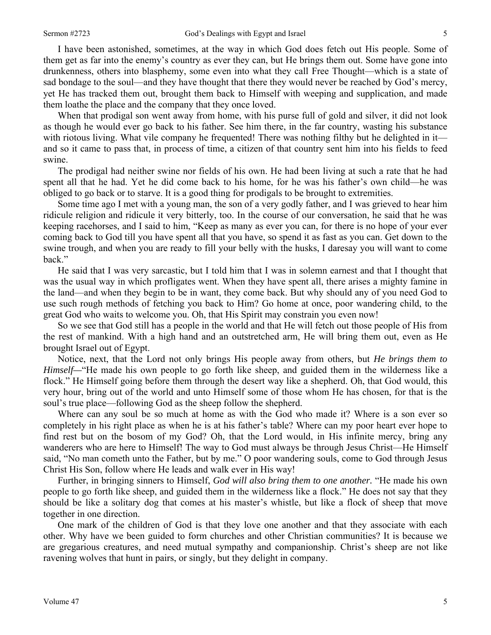I have been astonished, sometimes, at the way in which God does fetch out His people. Some of them get as far into the enemy's country as ever they can, but He brings them out. Some have gone into drunkenness, others into blasphemy, some even into what they call Free Thought—which is a state of sad bondage to the soul—and they have thought that there they would never be reached by God's mercy, yet He has tracked them out, brought them back to Himself with weeping and supplication, and made them loathe the place and the company that they once loved.

 When that prodigal son went away from home, with his purse full of gold and silver, it did not look as though he would ever go back to his father. See him there, in the far country, wasting his substance with riotous living. What vile company he frequented! There was nothing filthy but he delighted in it and so it came to pass that, in process of time, a citizen of that country sent him into his fields to feed swine.

 The prodigal had neither swine nor fields of his own. He had been living at such a rate that he had spent all that he had. Yet he did come back to his home, for he was his father's own child—he was obliged to go back or to starve. It is a good thing for prodigals to be brought to extremities.

 Some time ago I met with a young man, the son of a very godly father, and I was grieved to hear him ridicule religion and ridicule it very bitterly, too. In the course of our conversation, he said that he was keeping racehorses, and I said to him, "Keep as many as ever you can, for there is no hope of your ever coming back to God till you have spent all that you have, so spend it as fast as you can. Get down to the swine trough, and when you are ready to fill your belly with the husks, I daresay you will want to come back."

 He said that I was very sarcastic, but I told him that I was in solemn earnest and that I thought that was the usual way in which profligates went. When they have spent all, there arises a mighty famine in the land—and when they begin to be in want, they come back. But why should any of you need God to use such rough methods of fetching you back to Him? Go home at once, poor wandering child, to the great God who waits to welcome you. Oh, that His Spirit may constrain you even now!

 So we see that God still has a people in the world and that He will fetch out those people of His from the rest of mankind. With a high hand and an outstretched arm, He will bring them out, even as He brought Israel out of Egypt.

 Notice, next, that the Lord not only brings His people away from others, but *He brings them to Himself—*"He made his own people to go forth like sheep, and guided them in the wilderness like a flock." He Himself going before them through the desert way like a shepherd. Oh, that God would, this very hour, bring out of the world and unto Himself some of those whom He has chosen, for that is the soul's true place—following God as the sheep follow the shepherd.

 Where can any soul be so much at home as with the God who made it? Where is a son ever so completely in his right place as when he is at his father's table? Where can my poor heart ever hope to find rest but on the bosom of my God? Oh, that the Lord would, in His infinite mercy, bring any wanderers who are here to Himself! The way to God must always be through Jesus Christ—He Himself said, "No man cometh unto the Father, but by me." O poor wandering souls, come to God through Jesus Christ His Son, follow where He leads and walk ever in His way!

 Further, in bringing sinners to Himself, *God will also bring them to one another.* "He made his own people to go forth like sheep, and guided them in the wilderness like a flock." He does not say that they should be like a solitary dog that comes at his master's whistle, but like a flock of sheep that move together in one direction.

 One mark of the children of God is that they love one another and that they associate with each other. Why have we been guided to form churches and other Christian communities? It is because we are gregarious creatures, and need mutual sympathy and companionship. Christ's sheep are not like ravening wolves that hunt in pairs, or singly, but they delight in company.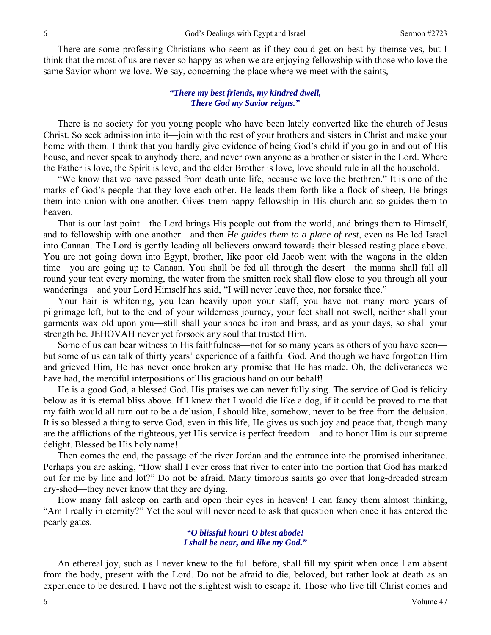There are some professing Christians who seem as if they could get on best by themselves, but I think that the most of us are never so happy as when we are enjoying fellowship with those who love the same Savior whom we love. We say, concerning the place where we meet with the saints,—

#### *"There my best friends, my kindred dwell, There God my Savior reigns."*

 There is no society for you young people who have been lately converted like the church of Jesus Christ. So seek admission into it—join with the rest of your brothers and sisters in Christ and make your home with them. I think that you hardly give evidence of being God's child if you go in and out of His house, and never speak to anybody there, and never own anyone as a brother or sister in the Lord. Where the Father is love, the Spirit is love, and the elder Brother is love, love should rule in all the household.

 "We know that we have passed from death unto life, because we love the brethren." It is one of the marks of God's people that they love each other. He leads them forth like a flock of sheep, He brings them into union with one another. Gives them happy fellowship in His church and so guides them to heaven.

 That is our last point—the Lord brings His people out from the world, and brings them to Himself, and to fellowship with one another—and then *He guides them to a place of rest*, even as He led Israel into Canaan. The Lord is gently leading all believers onward towards their blessed resting place above. You are not going down into Egypt, brother, like poor old Jacob went with the wagons in the olden time—you are going up to Canaan. You shall be fed all through the desert—the manna shall fall all round your tent every morning, the water from the smitten rock shall flow close to you through all your wanderings—and your Lord Himself has said, "I will never leave thee, nor forsake thee."

 Your hair is whitening, you lean heavily upon your staff, you have not many more years of pilgrimage left, but to the end of your wilderness journey, your feet shall not swell, neither shall your garments wax old upon you—still shall your shoes be iron and brass, and as your days, so shall your strength be. JEHOVAH never yet forsook any soul that trusted Him.

 Some of us can bear witness to His faithfulness—not for so many years as others of you have seen but some of us can talk of thirty years' experience of a faithful God. And though we have forgotten Him and grieved Him, He has never once broken any promise that He has made. Oh, the deliverances we have had, the merciful interpositions of His gracious hand on our behalf!

 He is a good God, a blessed God. His praises we can never fully sing. The service of God is felicity below as it is eternal bliss above. If I knew that I would die like a dog, if it could be proved to me that my faith would all turn out to be a delusion, I should like, somehow, never to be free from the delusion. It is so blessed a thing to serve God, even in this life, He gives us such joy and peace that, though many are the afflictions of the righteous, yet His service is perfect freedom—and to honor Him is our supreme delight. Blessed be His holy name!

 Then comes the end, the passage of the river Jordan and the entrance into the promised inheritance. Perhaps you are asking, "How shall I ever cross that river to enter into the portion that God has marked out for me by line and lot?" Do not be afraid. Many timorous saints go over that long-dreaded stream dry-shod—they never know that they are dying.

 How many fall asleep on earth and open their eyes in heaven! I can fancy them almost thinking, "Am I really in eternity?" Yet the soul will never need to ask that question when once it has entered the pearly gates.

> *"O blissful hour! O blest abode! I shall be near, and like my God."*

 An ethereal joy, such as I never knew to the full before, shall fill my spirit when once I am absent from the body, present with the Lord. Do not be afraid to die, beloved, but rather look at death as an experience to be desired. I have not the slightest wish to escape it. Those who live till Christ comes and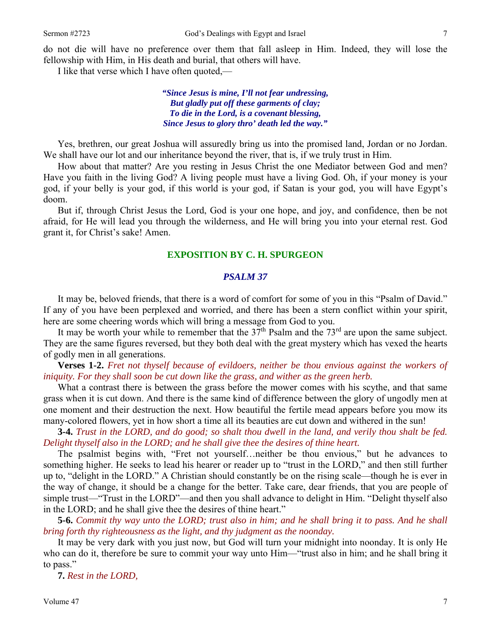do not die will have no preference over them that fall asleep in Him. Indeed, they will lose the fellowship with Him, in His death and burial, that others will have.

I like that verse which I have often quoted,—

*"Since Jesus is mine, I'll not fear undressing, But gladly put off these garments of clay; To die in the Lord, is a covenant blessing, Since Jesus to glory thro' death led the way."* 

 Yes, brethren, our great Joshua will assuredly bring us into the promised land, Jordan or no Jordan. We shall have our lot and our inheritance beyond the river, that is, if we truly trust in Him.

 How about that matter? Are you resting in Jesus Christ the one Mediator between God and men? Have you faith in the living God? A living people must have a living God. Oh, if your money is your god, if your belly is your god, if this world is your god, if Satan is your god, you will have Egypt's doom.

 But if, through Christ Jesus the Lord, God is your one hope, and joy, and confidence, then be not afraid, for He will lead you through the wilderness, and He will bring you into your eternal rest. God grant it, for Christ's sake! Amen.

#### **EXPOSITION BY C. H. SPURGEON**

#### *PSALM 37*

It may be, beloved friends, that there is a word of comfort for some of you in this "Psalm of David." If any of you have been perplexed and worried, and there has been a stern conflict within your spirit, here are some cheering words which will bring a message from God to you.

It may be worth your while to remember that the  $37<sup>th</sup>$  Psalm and the  $73<sup>rd</sup>$  are upon the same subject. They are the same figures reversed, but they both deal with the great mystery which has vexed the hearts of godly men in all generations.

**Verses 1-2.** *Fret not thyself because of evildoers, neither be thou envious against the workers of iniquity. For they shall soon be cut down like the grass, and wither as the green herb.* 

What a contrast there is between the grass before the mower comes with his scythe, and that same grass when it is cut down. And there is the same kind of difference between the glory of ungodly men at one moment and their destruction the next. How beautiful the fertile mead appears before you mow its many-colored flowers, yet in how short a time all its beauties are cut down and withered in the sun!

**3-4.** *Trust in the LORD, and do good; so shalt thou dwell in the land, and verily thou shalt be fed. Delight thyself also in the LORD; and he shall give thee the desires of thine heart.* 

The psalmist begins with, "Fret not yourself…neither be thou envious," but he advances to something higher. He seeks to lead his hearer or reader up to "trust in the LORD," and then still further up to, "delight in the LORD." A Christian should constantly be on the rising scale—though he is ever in the way of change, it should be a change for the better. Take care, dear friends, that you are people of simple trust—"Trust in the LORD"—and then you shall advance to delight in Him. "Delight thyself also in the LORD; and he shall give thee the desires of thine heart."

 **5-6.** *Commit thy way unto the LORD; trust also in him; and he shall bring it to pass. And he shall bring forth thy righteousness as the light, and thy judgment as the noonday.* 

It may be very dark with you just now, but God will turn your midnight into noonday. It is only He who can do it, therefore be sure to commit your way unto Him—"trust also in him; and he shall bring it to pass."

**7.** *Rest in the LORD,*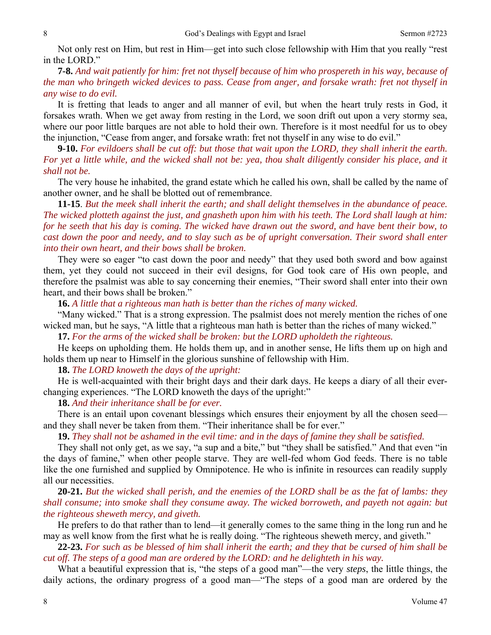Not only rest on Him, but rest in Him—get into such close fellowship with Him that you really "rest in the LORD."

**7-8.** *And wait patiently for him: fret not thyself because of him who prospereth in his way, because of the man who bringeth wicked devices to pass. Cease from anger, and forsake wrath: fret not thyself in any wise to do evil.* 

It is fretting that leads to anger and all manner of evil, but when the heart truly rests in God, it forsakes wrath. When we get away from resting in the Lord, we soon drift out upon a very stormy sea, where our poor little barques are not able to hold their own. Therefore is it most needful for us to obey the injunction, "Cease from anger, and forsake wrath: fret not thyself in any wise to do evil."

**9-10.** *For evildoers shall be cut off: but those that wait upon the LORD, they shall inherit the earth. For yet a little while, and the wicked shall not be: yea, thou shalt diligently consider his place, and it shall not be.* 

The very house he inhabited, the grand estate which he called his own, shall be called by the name of another owner, and he shall be blotted out of remembrance.

**11-15**. *But the meek shall inherit the earth; and shall delight themselves in the abundance of peace. The wicked plotteth against the just, and gnasheth upon him with his teeth. The Lord shall laugh at him: for he seeth that his day is coming. The wicked have drawn out the sword, and have bent their bow, to cast down the poor and needy, and to slay such as be of upright conversation. Their sword shall enter into their own heart, and their bows shall be broken.* 

 They were so eager "to cast down the poor and needy" that they used both sword and bow against them, yet they could not succeed in their evil designs, for God took care of His own people, and therefore the psalmist was able to say concerning their enemies, "Their sword shall enter into their own heart, and their bows shall be broken."

**16.** *A little that a righteous man hath is better than the riches of many wicked.* 

"Many wicked." That is a strong expression. The psalmist does not merely mention the riches of one wicked man, but he says, "A little that a righteous man hath is better than the riches of many wicked."

 **17.** *For the arms of the wicked shall be broken: but the LORD upholdeth the righteous.* 

He keeps on upholding them. He holds them up, and in another sense, He lifts them up on high and holds them up near to Himself in the glorious sunshine of fellowship with Him.

**18.** *The LORD knoweth the days of the upright:* 

He is well-acquainted with their bright days and their dark days. He keeps a diary of all their everchanging experiences. "The LORD knoweth the days of the upright:"

**18.** *And their inheritance shall be for ever.* 

There is an entail upon covenant blessings which ensures their enjoyment by all the chosen seed and they shall never be taken from them. "Their inheritance shall be for ever."

**19.** *They shall not be ashamed in the evil time: and in the days of famine they shall be satisfied.* 

They shall not only get, as we say, "a sup and a bite," but "they shall be satisfied." And that even "in the days of famine," when other people starve. They are well-fed whom God feeds. There is no table like the one furnished and supplied by Omnipotence. He who is infinite in resources can readily supply all our necessities.

**20-21.** *But the wicked shall perish, and the enemies of the LORD shall be as the fat of lambs: they shall consume; into smoke shall they consume away. The wicked borroweth, and payeth not again: but the righteous sheweth mercy, and giveth.* 

He prefers to do that rather than to lend—it generally comes to the same thing in the long run and he may as well know from the first what he is really doing. "The righteous sheweth mercy, and giveth."

**22-23.** *For such as be blessed of him shall inherit the earth; and they that be cursed of him shall be cut off. The steps of a good man are ordered by the LORD: and he delighteth in his way.* 

What a beautiful expression that is, "the steps of a good man"—the very *steps*, the little things, the daily actions, the ordinary progress of a good man—"The steps of a good man are ordered by the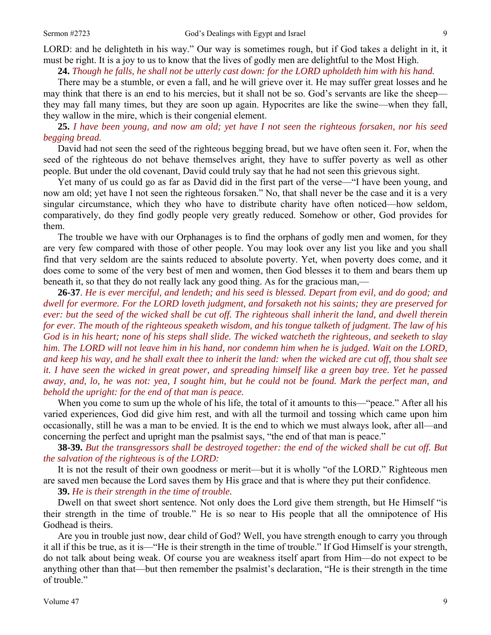LORD: and he delighteth in his way." Our way is sometimes rough, but if God takes a delight in it, it must be right. It is a joy to us to know that the lives of godly men are delightful to the Most High.

## **24.** *Though he falls, he shall not be utterly cast down: for the LORD upholdeth him with his hand.*

There may be a stumble, or even a fall, and he will grieve over it. He may suffer great losses and he may think that there is an end to his mercies, but it shall not be so. God's servants are like the sheep they may fall many times, but they are soon up again. Hypocrites are like the swine—when they fall, they wallow in the mire, which is their congenial element.

**25.** *I have been young, and now am old; yet have I not seen the righteous forsaken, nor his seed begging bread.* 

David had not seen the seed of the righteous begging bread, but we have often seen it. For, when the seed of the righteous do not behave themselves aright, they have to suffer poverty as well as other people. But under the old covenant, David could truly say that he had not seen this grievous sight.

 Yet many of us could go as far as David did in the first part of the verse—"I have been young, and now am old; yet have I not seen the righteous forsaken." No, that shall never be the case and it is a very singular circumstance, which they who have to distribute charity have often noticed—how seldom, comparatively, do they find godly people very greatly reduced. Somehow or other, God provides for them.

 The trouble we have with our Orphanages is to find the orphans of godly men and women, for they are very few compared with those of other people. You may look over any list you like and you shall find that very seldom are the saints reduced to absolute poverty. Yet, when poverty does come, and it does come to some of the very best of men and women, then God blesses it to them and bears them up beneath it, so that they do not really lack any good thing. As for the gracious man,—

**26-37**. *He is ever merciful, and lendeth; and his seed is blessed. Depart from evil, and do good; and dwell for evermore. For the LORD loveth judgment, and forsaketh not his saints; they are preserved for ever: but the seed of the wicked shall be cut off. The righteous shall inherit the land, and dwell therein for ever. The mouth of the righteous speaketh wisdom, and his tongue talketh of judgment. The law of his God is in his heart; none of his steps shall slide. The wicked watcheth the righteous, and seeketh to slay him. The LORD will not leave him in his hand, nor condemn him when he is judged. Wait on the LORD, and keep his way, and he shall exalt thee to inherit the land: when the wicked are cut off, thou shalt see it. I have seen the wicked in great power, and spreading himself like a green bay tree. Yet he passed away, and, lo, he was not: yea, I sought him, but he could not be found. Mark the perfect man, and behold the upright: for the end of that man is peace.* 

When you come to sum up the whole of his life, the total of it amounts to this—"peace." After all his varied experiences, God did give him rest, and with all the turmoil and tossing which came upon him occasionally, still he was a man to be envied. It is the end to which we must always look, after all—and concerning the perfect and upright man the psalmist says, "the end of that man is peace."

**38-39.** *But the transgressors shall be destroyed together: the end of the wicked shall be cut off. But the salvation of the righteous is of the LORD:* 

It is not the result of their own goodness or merit—but it is wholly "of the LORD." Righteous men are saved men because the Lord saves them by His grace and that is where they put their confidence.

**39.** *He is their strength in the time of trouble.* 

Dwell on that sweet short sentence. Not only does the Lord give them strength, but He Himself "is their strength in the time of trouble." He is so near to His people that all the omnipotence of His Godhead is theirs.

 Are you in trouble just now, dear child of God? Well, you have strength enough to carry you through it all if this be true, as it is—"He is their strength in the time of trouble." If God Himself is your strength, do not talk about being weak. Of course you are weakness itself apart from Him—do not expect to be anything other than that—but then remember the psalmist's declaration, "He is their strength in the time of trouble."